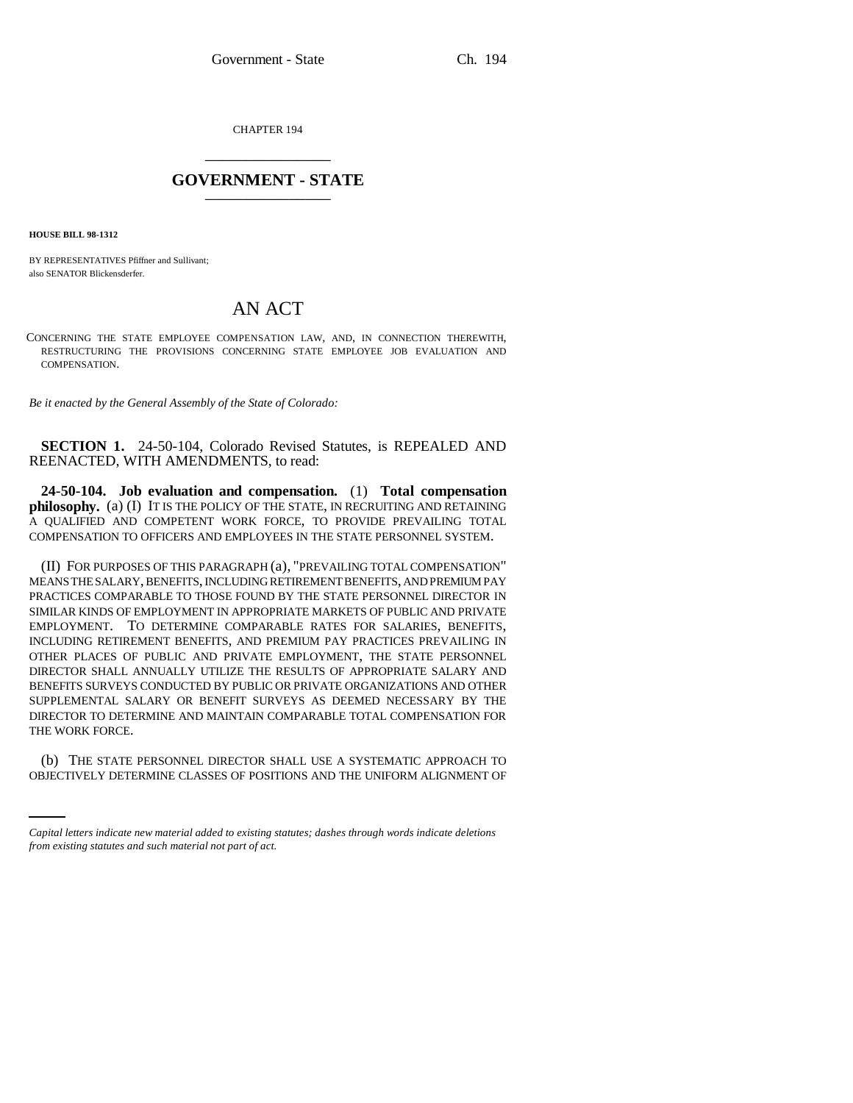CHAPTER 194 \_\_\_\_\_\_\_\_\_\_\_\_\_\_\_

# **GOVERNMENT - STATE** \_\_\_\_\_\_\_\_\_\_\_\_\_\_\_

**HOUSE BILL 98-1312**

BY REPRESENTATIVES Pfiffner and Sullivant; also SENATOR Blickensderfer.

# AN ACT

CONCERNING THE STATE EMPLOYEE COMPENSATION LAW, AND, IN CONNECTION THEREWITH, RESTRUCTURING THE PROVISIONS CONCERNING STATE EMPLOYEE JOB EVALUATION AND COMPENSATION.

*Be it enacted by the General Assembly of the State of Colorado:*

**SECTION 1.** 24-50-104, Colorado Revised Statutes, is REPEALED AND REENACTED, WITH AMENDMENTS, to read:

**24-50-104. Job evaluation and compensation.** (1) **Total compensation philosophy.** (a) (I) IT IS THE POLICY OF THE STATE, IN RECRUITING AND RETAINING A QUALIFIED AND COMPETENT WORK FORCE, TO PROVIDE PREVAILING TOTAL COMPENSATION TO OFFICERS AND EMPLOYEES IN THE STATE PERSONNEL SYSTEM.

(II) FOR PURPOSES OF THIS PARAGRAPH (a), "PREVAILING TOTAL COMPENSATION" MEANS THE SALARY, BENEFITS, INCLUDING RETIREMENT BENEFITS, AND PREMIUM PAY PRACTICES COMPARABLE TO THOSE FOUND BY THE STATE PERSONNEL DIRECTOR IN SIMILAR KINDS OF EMPLOYMENT IN APPROPRIATE MARKETS OF PUBLIC AND PRIVATE EMPLOYMENT. TO DETERMINE COMPARABLE RATES FOR SALARIES, BENEFITS, INCLUDING RETIREMENT BENEFITS, AND PREMIUM PAY PRACTICES PREVAILING IN OTHER PLACES OF PUBLIC AND PRIVATE EMPLOYMENT, THE STATE PERSONNEL DIRECTOR SHALL ANNUALLY UTILIZE THE RESULTS OF APPROPRIATE SALARY AND BENEFITS SURVEYS CONDUCTED BY PUBLIC OR PRIVATE ORGANIZATIONS AND OTHER SUPPLEMENTAL SALARY OR BENEFIT SURVEYS AS DEEMED NECESSARY BY THE DIRECTOR TO DETERMINE AND MAINTAIN COMPARABLE TOTAL COMPENSATION FOR THE WORK FORCE.

(b) THE STATE PERSONNEL DIRECTOR SHALL USE A SYSTEMATIC APPROACH TO OBJECTIVELY DETERMINE CLASSES OF POSITIONS AND THE UNIFORM ALIGNMENT OF

*Capital letters indicate new material added to existing statutes; dashes through words indicate deletions from existing statutes and such material not part of act.*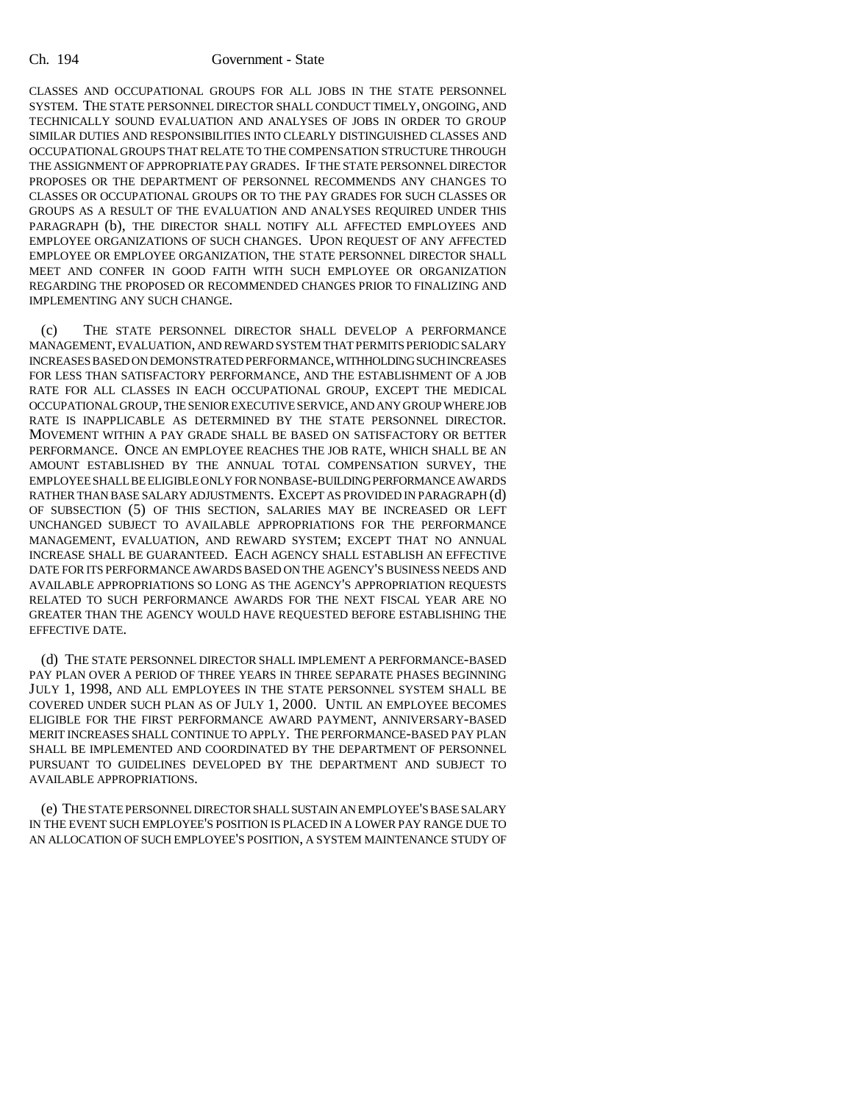#### Ch. 194 Government - State

CLASSES AND OCCUPATIONAL GROUPS FOR ALL JOBS IN THE STATE PERSONNEL SYSTEM. THE STATE PERSONNEL DIRECTOR SHALL CONDUCT TIMELY, ONGOING, AND TECHNICALLY SOUND EVALUATION AND ANALYSES OF JOBS IN ORDER TO GROUP SIMILAR DUTIES AND RESPONSIBILITIES INTO CLEARLY DISTINGUISHED CLASSES AND OCCUPATIONAL GROUPS THAT RELATE TO THE COMPENSATION STRUCTURE THROUGH THE ASSIGNMENT OF APPROPRIATE PAY GRADES. IF THE STATE PERSONNEL DIRECTOR PROPOSES OR THE DEPARTMENT OF PERSONNEL RECOMMENDS ANY CHANGES TO CLASSES OR OCCUPATIONAL GROUPS OR TO THE PAY GRADES FOR SUCH CLASSES OR GROUPS AS A RESULT OF THE EVALUATION AND ANALYSES REQUIRED UNDER THIS PARAGRAPH (b), THE DIRECTOR SHALL NOTIFY ALL AFFECTED EMPLOYEES AND EMPLOYEE ORGANIZATIONS OF SUCH CHANGES. UPON REQUEST OF ANY AFFECTED EMPLOYEE OR EMPLOYEE ORGANIZATION, THE STATE PERSONNEL DIRECTOR SHALL MEET AND CONFER IN GOOD FAITH WITH SUCH EMPLOYEE OR ORGANIZATION REGARDING THE PROPOSED OR RECOMMENDED CHANGES PRIOR TO FINALIZING AND IMPLEMENTING ANY SUCH CHANGE.

(c) THE STATE PERSONNEL DIRECTOR SHALL DEVELOP A PERFORMANCE MANAGEMENT, EVALUATION, AND REWARD SYSTEM THAT PERMITS PERIODIC SALARY INCREASES BASED ON DEMONSTRATED PERFORMANCE, WITHHOLDING SUCH INCREASES FOR LESS THAN SATISFACTORY PERFORMANCE, AND THE ESTABLISHMENT OF A JOB RATE FOR ALL CLASSES IN EACH OCCUPATIONAL GROUP, EXCEPT THE MEDICAL OCCUPATIONAL GROUP, THE SENIOR EXECUTIVE SERVICE, AND ANY GROUP WHERE JOB RATE IS INAPPLICABLE AS DETERMINED BY THE STATE PERSONNEL DIRECTOR. MOVEMENT WITHIN A PAY GRADE SHALL BE BASED ON SATISFACTORY OR BETTER PERFORMANCE. ONCE AN EMPLOYEE REACHES THE JOB RATE, WHICH SHALL BE AN AMOUNT ESTABLISHED BY THE ANNUAL TOTAL COMPENSATION SURVEY, THE EMPLOYEE SHALL BE ELIGIBLE ONLY FOR NONBASE-BUILDING PERFORMANCE AWARDS RATHER THAN BASE SALARY ADJUSTMENTS. EXCEPT AS PROVIDED IN PARAGRAPH (d) OF SUBSECTION (5) OF THIS SECTION, SALARIES MAY BE INCREASED OR LEFT UNCHANGED SUBJECT TO AVAILABLE APPROPRIATIONS FOR THE PERFORMANCE MANAGEMENT, EVALUATION, AND REWARD SYSTEM; EXCEPT THAT NO ANNUAL INCREASE SHALL BE GUARANTEED. EACH AGENCY SHALL ESTABLISH AN EFFECTIVE DATE FOR ITS PERFORMANCE AWARDS BASED ON THE AGENCY'S BUSINESS NEEDS AND AVAILABLE APPROPRIATIONS SO LONG AS THE AGENCY'S APPROPRIATION REQUESTS RELATED TO SUCH PERFORMANCE AWARDS FOR THE NEXT FISCAL YEAR ARE NO GREATER THAN THE AGENCY WOULD HAVE REQUESTED BEFORE ESTABLISHING THE EFFECTIVE DATE.

(d) THE STATE PERSONNEL DIRECTOR SHALL IMPLEMENT A PERFORMANCE-BASED PAY PLAN OVER A PERIOD OF THREE YEARS IN THREE SEPARATE PHASES BEGINNING JULY 1, 1998, AND ALL EMPLOYEES IN THE STATE PERSONNEL SYSTEM SHALL BE COVERED UNDER SUCH PLAN AS OF JULY 1, 2000. UNTIL AN EMPLOYEE BECOMES ELIGIBLE FOR THE FIRST PERFORMANCE AWARD PAYMENT, ANNIVERSARY-BASED MERIT INCREASES SHALL CONTINUE TO APPLY. THE PERFORMANCE-BASED PAY PLAN SHALL BE IMPLEMENTED AND COORDINATED BY THE DEPARTMENT OF PERSONNEL PURSUANT TO GUIDELINES DEVELOPED BY THE DEPARTMENT AND SUBJECT TO AVAILABLE APPROPRIATIONS.

(e) THE STATE PERSONNEL DIRECTOR SHALL SUSTAIN AN EMPLOYEE'S BASE SALARY IN THE EVENT SUCH EMPLOYEE'S POSITION IS PLACED IN A LOWER PAY RANGE DUE TO AN ALLOCATION OF SUCH EMPLOYEE'S POSITION, A SYSTEM MAINTENANCE STUDY OF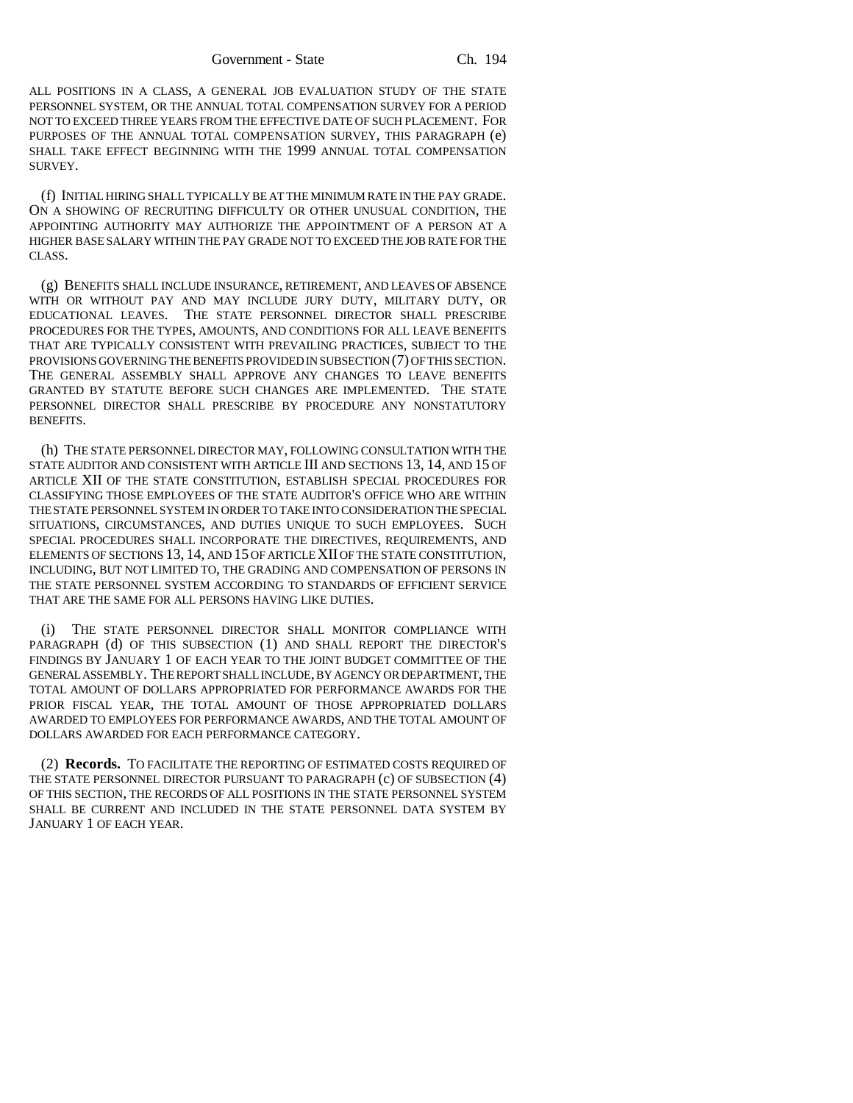ALL POSITIONS IN A CLASS, A GENERAL JOB EVALUATION STUDY OF THE STATE PERSONNEL SYSTEM, OR THE ANNUAL TOTAL COMPENSATION SURVEY FOR A PERIOD NOT TO EXCEED THREE YEARS FROM THE EFFECTIVE DATE OF SUCH PLACEMENT. FOR PURPOSES OF THE ANNUAL TOTAL COMPENSATION SURVEY, THIS PARAGRAPH (e) SHALL TAKE EFFECT BEGINNING WITH THE 1999 ANNUAL TOTAL COMPENSATION SURVEY.

(f) INITIAL HIRING SHALL TYPICALLY BE AT THE MINIMUM RATE IN THE PAY GRADE. ON A SHOWING OF RECRUITING DIFFICULTY OR OTHER UNUSUAL CONDITION, THE APPOINTING AUTHORITY MAY AUTHORIZE THE APPOINTMENT OF A PERSON AT A HIGHER BASE SALARY WITHIN THE PAY GRADE NOT TO EXCEED THE JOB RATE FOR THE CLASS.

(g) BENEFITS SHALL INCLUDE INSURANCE, RETIREMENT, AND LEAVES OF ABSENCE WITH OR WITHOUT PAY AND MAY INCLUDE JURY DUTY, MILITARY DUTY, OR EDUCATIONAL LEAVES. THE STATE PERSONNEL DIRECTOR SHALL PRESCRIBE PROCEDURES FOR THE TYPES, AMOUNTS, AND CONDITIONS FOR ALL LEAVE BENEFITS THAT ARE TYPICALLY CONSISTENT WITH PREVAILING PRACTICES, SUBJECT TO THE PROVISIONS GOVERNING THE BENEFITS PROVIDED IN SUBSECTION (7) OF THIS SECTION. THE GENERAL ASSEMBLY SHALL APPROVE ANY CHANGES TO LEAVE BENEFITS GRANTED BY STATUTE BEFORE SUCH CHANGES ARE IMPLEMENTED. THE STATE PERSONNEL DIRECTOR SHALL PRESCRIBE BY PROCEDURE ANY NONSTATUTORY BENEFITS.

(h) THE STATE PERSONNEL DIRECTOR MAY, FOLLOWING CONSULTATION WITH THE STATE AUDITOR AND CONSISTENT WITH ARTICLE III AND SECTIONS 13, 14, AND 15 OF ARTICLE XII OF THE STATE CONSTITUTION, ESTABLISH SPECIAL PROCEDURES FOR CLASSIFYING THOSE EMPLOYEES OF THE STATE AUDITOR'S OFFICE WHO ARE WITHIN THE STATE PERSONNEL SYSTEM IN ORDER TO TAKE INTO CONSIDERATION THE SPECIAL SITUATIONS, CIRCUMSTANCES, AND DUTIES UNIQUE TO SUCH EMPLOYEES. SUCH SPECIAL PROCEDURES SHALL INCORPORATE THE DIRECTIVES, REQUIREMENTS, AND ELEMENTS OF SECTIONS 13, 14, AND 15 OF ARTICLE XII OF THE STATE CONSTITUTION, INCLUDING, BUT NOT LIMITED TO, THE GRADING AND COMPENSATION OF PERSONS IN THE STATE PERSONNEL SYSTEM ACCORDING TO STANDARDS OF EFFICIENT SERVICE THAT ARE THE SAME FOR ALL PERSONS HAVING LIKE DUTIES.

(i) THE STATE PERSONNEL DIRECTOR SHALL MONITOR COMPLIANCE WITH PARAGRAPH (d) OF THIS SUBSECTION (1) AND SHALL REPORT THE DIRECTOR'S FINDINGS BY JANUARY 1 OF EACH YEAR TO THE JOINT BUDGET COMMITTEE OF THE GENERAL ASSEMBLY. THE REPORT SHALL INCLUDE, BY AGENCY OR DEPARTMENT, THE TOTAL AMOUNT OF DOLLARS APPROPRIATED FOR PERFORMANCE AWARDS FOR THE PRIOR FISCAL YEAR, THE TOTAL AMOUNT OF THOSE APPROPRIATED DOLLARS AWARDED TO EMPLOYEES FOR PERFORMANCE AWARDS, AND THE TOTAL AMOUNT OF DOLLARS AWARDED FOR EACH PERFORMANCE CATEGORY.

(2) **Records.** TO FACILITATE THE REPORTING OF ESTIMATED COSTS REQUIRED OF THE STATE PERSONNEL DIRECTOR PURSUANT TO PARAGRAPH (c) OF SUBSECTION (4) OF THIS SECTION, THE RECORDS OF ALL POSITIONS IN THE STATE PERSONNEL SYSTEM SHALL BE CURRENT AND INCLUDED IN THE STATE PERSONNEL DATA SYSTEM BY JANUARY 1 OF EACH YEAR.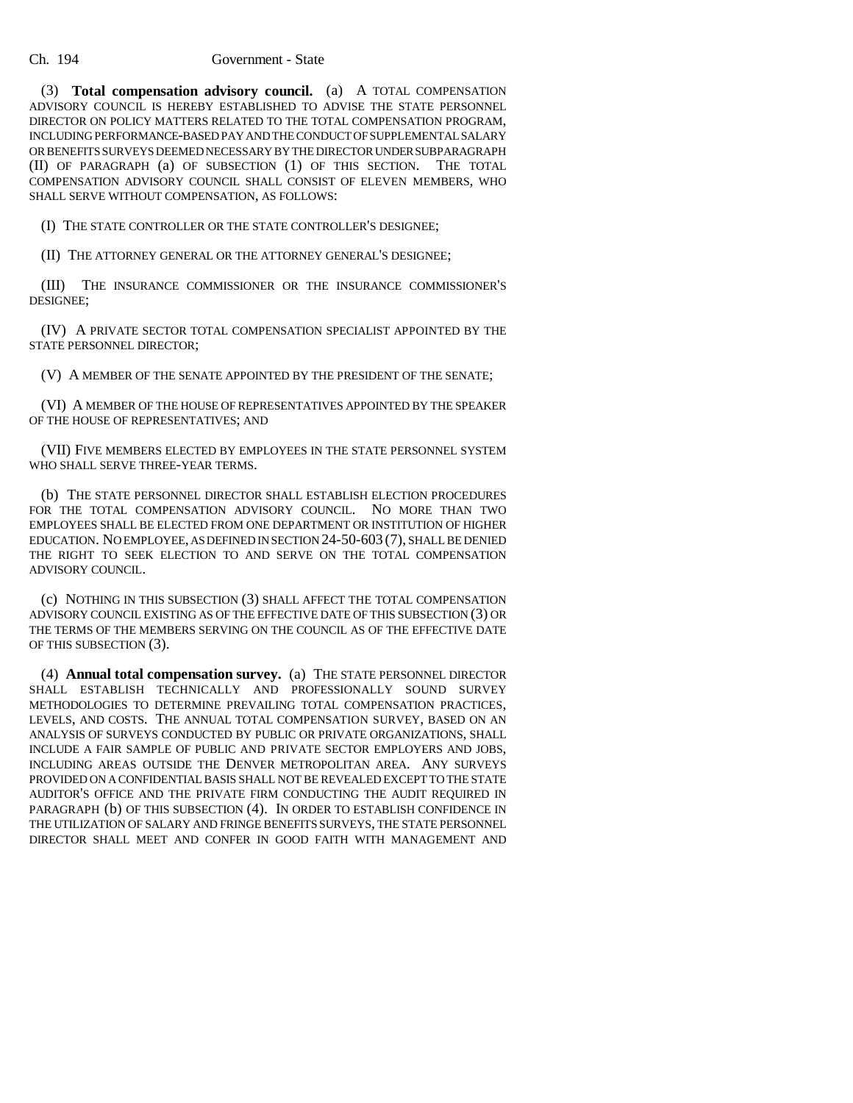#### Ch. 194 Government - State

(3) **Total compensation advisory council.** (a) A TOTAL COMPENSATION ADVISORY COUNCIL IS HEREBY ESTABLISHED TO ADVISE THE STATE PERSONNEL DIRECTOR ON POLICY MATTERS RELATED TO THE TOTAL COMPENSATION PROGRAM, INCLUDING PERFORMANCE-BASED PAY AND THE CONDUCT OF SUPPLEMENTAL SALARY OR BENEFITS SURVEYS DEEMED NECESSARY BY THE DIRECTOR UNDER SUBPARAGRAPH (II) OF PARAGRAPH (a) OF SUBSECTION (1) OF THIS SECTION. THE TOTAL COMPENSATION ADVISORY COUNCIL SHALL CONSIST OF ELEVEN MEMBERS, WHO SHALL SERVE WITHOUT COMPENSATION, AS FOLLOWS:

(I) THE STATE CONTROLLER OR THE STATE CONTROLLER'S DESIGNEE;

(II) THE ATTORNEY GENERAL OR THE ATTORNEY GENERAL'S DESIGNEE;

(III) THE INSURANCE COMMISSIONER OR THE INSURANCE COMMISSIONER'S DESIGNEE;

(IV) A PRIVATE SECTOR TOTAL COMPENSATION SPECIALIST APPOINTED BY THE STATE PERSONNEL DIRECTOR;

(V) A MEMBER OF THE SENATE APPOINTED BY THE PRESIDENT OF THE SENATE;

(VI) A MEMBER OF THE HOUSE OF REPRESENTATIVES APPOINTED BY THE SPEAKER OF THE HOUSE OF REPRESENTATIVES; AND

(VII) FIVE MEMBERS ELECTED BY EMPLOYEES IN THE STATE PERSONNEL SYSTEM WHO SHALL SERVE THREE-YEAR TERMS.

(b) THE STATE PERSONNEL DIRECTOR SHALL ESTABLISH ELECTION PROCEDURES FOR THE TOTAL COMPENSATION ADVISORY COUNCIL. NO MORE THAN TWO EMPLOYEES SHALL BE ELECTED FROM ONE DEPARTMENT OR INSTITUTION OF HIGHER EDUCATION. NO EMPLOYEE, AS DEFINED IN SECTION 24-50-603 (7), SHALL BE DENIED THE RIGHT TO SEEK ELECTION TO AND SERVE ON THE TOTAL COMPENSATION ADVISORY COUNCIL.

(c) NOTHING IN THIS SUBSECTION (3) SHALL AFFECT THE TOTAL COMPENSATION ADVISORY COUNCIL EXISTING AS OF THE EFFECTIVE DATE OF THIS SUBSECTION (3) OR THE TERMS OF THE MEMBERS SERVING ON THE COUNCIL AS OF THE EFFECTIVE DATE OF THIS SUBSECTION (3).

(4) **Annual total compensation survey.** (a) THE STATE PERSONNEL DIRECTOR SHALL ESTABLISH TECHNICALLY AND PROFESSIONALLY SOUND SURVEY METHODOLOGIES TO DETERMINE PREVAILING TOTAL COMPENSATION PRACTICES, LEVELS, AND COSTS. THE ANNUAL TOTAL COMPENSATION SURVEY, BASED ON AN ANALYSIS OF SURVEYS CONDUCTED BY PUBLIC OR PRIVATE ORGANIZATIONS, SHALL INCLUDE A FAIR SAMPLE OF PUBLIC AND PRIVATE SECTOR EMPLOYERS AND JOBS, INCLUDING AREAS OUTSIDE THE DENVER METROPOLITAN AREA. ANY SURVEYS PROVIDED ON A CONFIDENTIAL BASIS SHALL NOT BE REVEALED EXCEPT TO THE STATE AUDITOR'S OFFICE AND THE PRIVATE FIRM CONDUCTING THE AUDIT REQUIRED IN PARAGRAPH (b) OF THIS SUBSECTION (4). IN ORDER TO ESTABLISH CONFIDENCE IN THE UTILIZATION OF SALARY AND FRINGE BENEFITS SURVEYS, THE STATE PERSONNEL DIRECTOR SHALL MEET AND CONFER IN GOOD FAITH WITH MANAGEMENT AND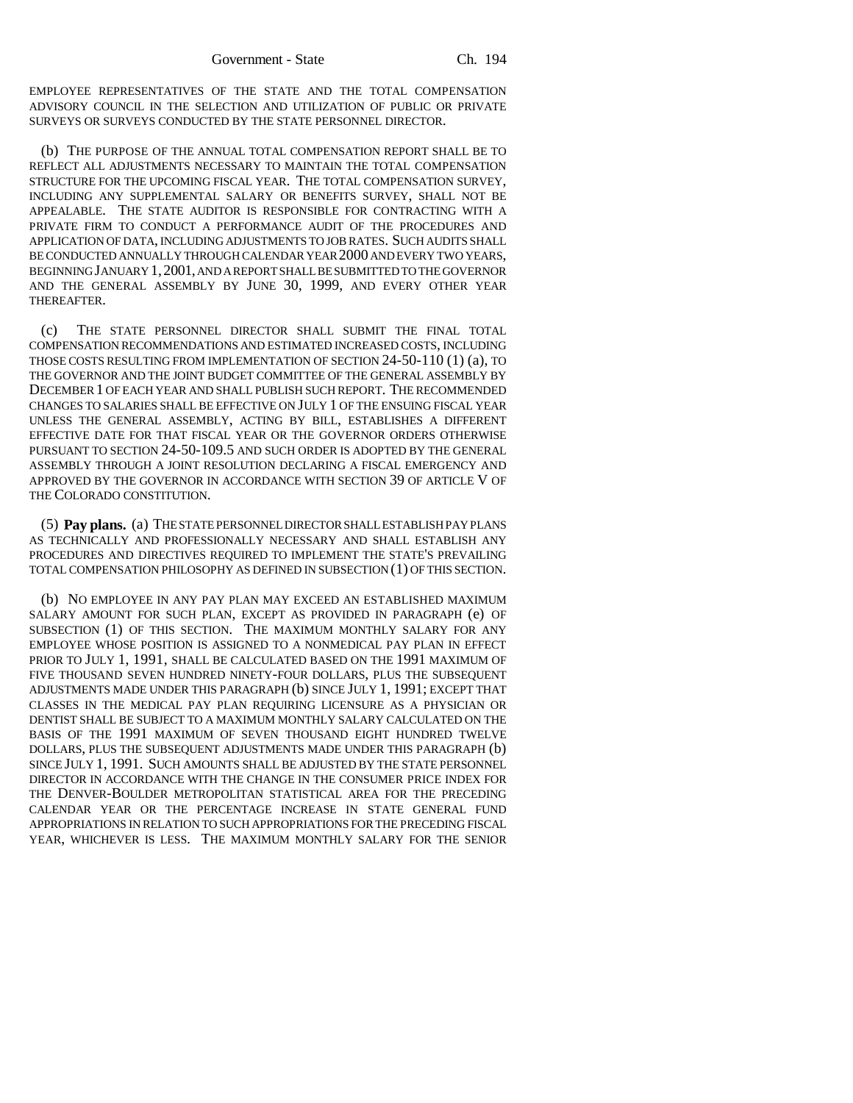EMPLOYEE REPRESENTATIVES OF THE STATE AND THE TOTAL COMPENSATION ADVISORY COUNCIL IN THE SELECTION AND UTILIZATION OF PUBLIC OR PRIVATE SURVEYS OR SURVEYS CONDUCTED BY THE STATE PERSONNEL DIRECTOR.

(b) THE PURPOSE OF THE ANNUAL TOTAL COMPENSATION REPORT SHALL BE TO REFLECT ALL ADJUSTMENTS NECESSARY TO MAINTAIN THE TOTAL COMPENSATION STRUCTURE FOR THE UPCOMING FISCAL YEAR. THE TOTAL COMPENSATION SURVEY, INCLUDING ANY SUPPLEMENTAL SALARY OR BENEFITS SURVEY, SHALL NOT BE APPEALABLE. THE STATE AUDITOR IS RESPONSIBLE FOR CONTRACTING WITH A PRIVATE FIRM TO CONDUCT A PERFORMANCE AUDIT OF THE PROCEDURES AND APPLICATION OF DATA, INCLUDING ADJUSTMENTS TO JOB RATES. SUCH AUDITS SHALL BE CONDUCTED ANNUALLY THROUGH CALENDAR YEAR 2000 AND EVERY TWO YEARS, BEGINNING JANUARY 1,2001, AND A REPORT SHALL BE SUBMITTED TO THE GOVERNOR AND THE GENERAL ASSEMBLY BY JUNE 30, 1999, AND EVERY OTHER YEAR THEREAFTER.

(c) THE STATE PERSONNEL DIRECTOR SHALL SUBMIT THE FINAL TOTAL COMPENSATION RECOMMENDATIONS AND ESTIMATED INCREASED COSTS, INCLUDING THOSE COSTS RESULTING FROM IMPLEMENTATION OF SECTION 24-50-110 (1) (a), TO THE GOVERNOR AND THE JOINT BUDGET COMMITTEE OF THE GENERAL ASSEMBLY BY DECEMBER 1 OF EACH YEAR AND SHALL PUBLISH SUCH REPORT. THE RECOMMENDED CHANGES TO SALARIES SHALL BE EFFECTIVE ON JULY 1 OF THE ENSUING FISCAL YEAR UNLESS THE GENERAL ASSEMBLY, ACTING BY BILL, ESTABLISHES A DIFFERENT EFFECTIVE DATE FOR THAT FISCAL YEAR OR THE GOVERNOR ORDERS OTHERWISE PURSUANT TO SECTION 24-50-109.5 AND SUCH ORDER IS ADOPTED BY THE GENERAL ASSEMBLY THROUGH A JOINT RESOLUTION DECLARING A FISCAL EMERGENCY AND APPROVED BY THE GOVERNOR IN ACCORDANCE WITH SECTION 39 OF ARTICLE V OF THE COLORADO CONSTITUTION.

(5) **Pay plans.** (a) THE STATE PERSONNEL DIRECTOR SHALL ESTABLISH PAY PLANS AS TECHNICALLY AND PROFESSIONALLY NECESSARY AND SHALL ESTABLISH ANY PROCEDURES AND DIRECTIVES REQUIRED TO IMPLEMENT THE STATE'S PREVAILING TOTAL COMPENSATION PHILOSOPHY AS DEFINED IN SUBSECTION (1) OF THIS SECTION.

(b) NO EMPLOYEE IN ANY PAY PLAN MAY EXCEED AN ESTABLISHED MAXIMUM SALARY AMOUNT FOR SUCH PLAN, EXCEPT AS PROVIDED IN PARAGRAPH (e) OF SUBSECTION (1) OF THIS SECTION. THE MAXIMUM MONTHLY SALARY FOR ANY EMPLOYEE WHOSE POSITION IS ASSIGNED TO A NONMEDICAL PAY PLAN IN EFFECT PRIOR TO JULY 1, 1991, SHALL BE CALCULATED BASED ON THE 1991 MAXIMUM OF FIVE THOUSAND SEVEN HUNDRED NINETY-FOUR DOLLARS, PLUS THE SUBSEQUENT ADJUSTMENTS MADE UNDER THIS PARAGRAPH (b) SINCE JULY 1, 1991; EXCEPT THAT CLASSES IN THE MEDICAL PAY PLAN REQUIRING LICENSURE AS A PHYSICIAN OR DENTIST SHALL BE SUBJECT TO A MAXIMUM MONTHLY SALARY CALCULATED ON THE BASIS OF THE 1991 MAXIMUM OF SEVEN THOUSAND EIGHT HUNDRED TWELVE DOLLARS, PLUS THE SUBSEQUENT ADJUSTMENTS MADE UNDER THIS PARAGRAPH (b) SINCE JULY 1, 1991. SUCH AMOUNTS SHALL BE ADJUSTED BY THE STATE PERSONNEL DIRECTOR IN ACCORDANCE WITH THE CHANGE IN THE CONSUMER PRICE INDEX FOR THE DENVER-BOULDER METROPOLITAN STATISTICAL AREA FOR THE PRECEDING CALENDAR YEAR OR THE PERCENTAGE INCREASE IN STATE GENERAL FUND APPROPRIATIONS IN RELATION TO SUCH APPROPRIATIONS FOR THE PRECEDING FISCAL YEAR, WHICHEVER IS LESS. THE MAXIMUM MONTHLY SALARY FOR THE SENIOR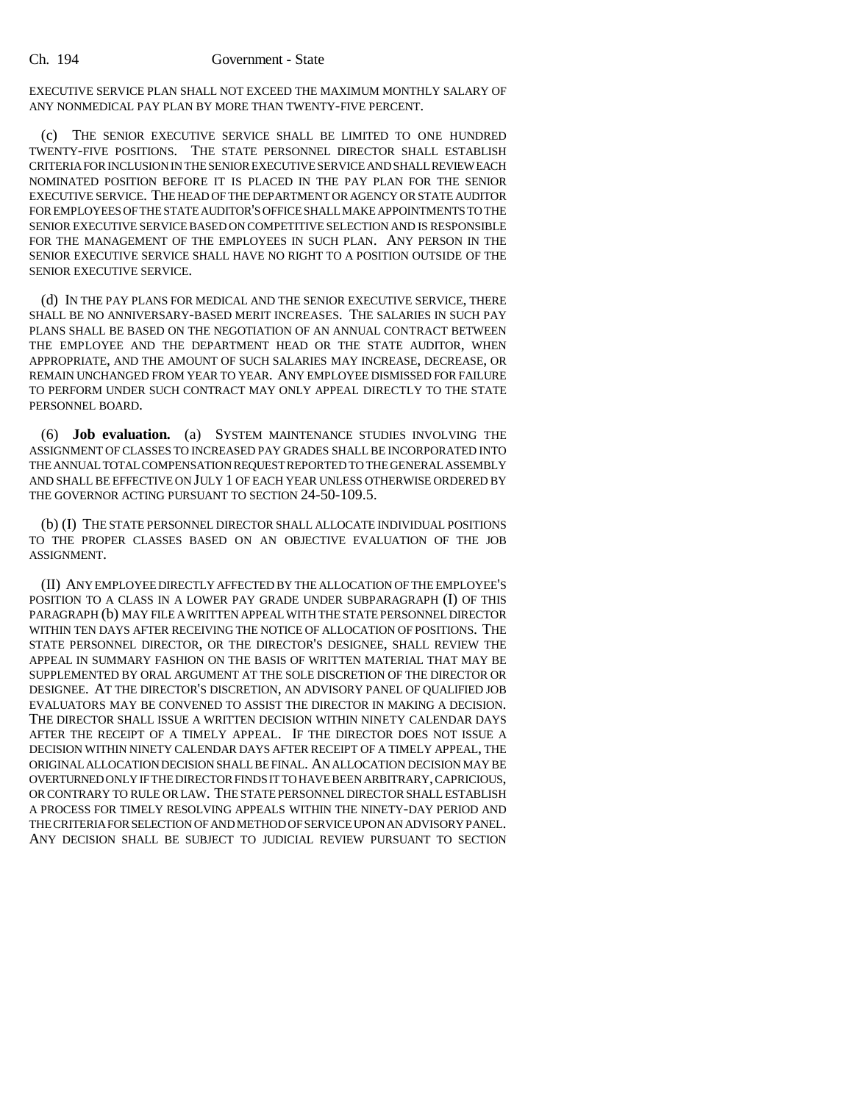EXECUTIVE SERVICE PLAN SHALL NOT EXCEED THE MAXIMUM MONTHLY SALARY OF ANY NONMEDICAL PAY PLAN BY MORE THAN TWENTY-FIVE PERCENT.

(c) THE SENIOR EXECUTIVE SERVICE SHALL BE LIMITED TO ONE HUNDRED TWENTY-FIVE POSITIONS. THE STATE PERSONNEL DIRECTOR SHALL ESTABLISH CRITERIA FOR INCLUSION IN THE SENIOR EXECUTIVE SERVICE AND SHALL REVIEW EACH NOMINATED POSITION BEFORE IT IS PLACED IN THE PAY PLAN FOR THE SENIOR EXECUTIVE SERVICE. THE HEAD OF THE DEPARTMENT OR AGENCY OR STATE AUDITOR FOR EMPLOYEES OF THE STATE AUDITOR'S OFFICE SHALL MAKE APPOINTMENTS TO THE SENIOR EXECUTIVE SERVICE BASED ON COMPETITIVE SELECTION AND IS RESPONSIBLE FOR THE MANAGEMENT OF THE EMPLOYEES IN SUCH PLAN. ANY PERSON IN THE SENIOR EXECUTIVE SERVICE SHALL HAVE NO RIGHT TO A POSITION OUTSIDE OF THE SENIOR EXECUTIVE SERVICE.

(d) IN THE PAY PLANS FOR MEDICAL AND THE SENIOR EXECUTIVE SERVICE, THERE SHALL BE NO ANNIVERSARY-BASED MERIT INCREASES. THE SALARIES IN SUCH PAY PLANS SHALL BE BASED ON THE NEGOTIATION OF AN ANNUAL CONTRACT BETWEEN THE EMPLOYEE AND THE DEPARTMENT HEAD OR THE STATE AUDITOR, WHEN APPROPRIATE, AND THE AMOUNT OF SUCH SALARIES MAY INCREASE, DECREASE, OR REMAIN UNCHANGED FROM YEAR TO YEAR. ANY EMPLOYEE DISMISSED FOR FAILURE TO PERFORM UNDER SUCH CONTRACT MAY ONLY APPEAL DIRECTLY TO THE STATE PERSONNEL BOARD.

(6) **Job evaluation.** (a) SYSTEM MAINTENANCE STUDIES INVOLVING THE ASSIGNMENT OF CLASSES TO INCREASED PAY GRADES SHALL BE INCORPORATED INTO THE ANNUAL TOTAL COMPENSATION REQUEST REPORTED TO THE GENERAL ASSEMBLY AND SHALL BE EFFECTIVE ON JULY 1 OF EACH YEAR UNLESS OTHERWISE ORDERED BY THE GOVERNOR ACTING PURSUANT TO SECTION 24-50-109.5.

(b) (I) THE STATE PERSONNEL DIRECTOR SHALL ALLOCATE INDIVIDUAL POSITIONS TO THE PROPER CLASSES BASED ON AN OBJECTIVE EVALUATION OF THE JOB ASSIGNMENT.

(II) ANY EMPLOYEE DIRECTLY AFFECTED BY THE ALLOCATION OF THE EMPLOYEE'S POSITION TO A CLASS IN A LOWER PAY GRADE UNDER SUBPARAGRAPH (I) OF THIS PARAGRAPH (b) MAY FILE A WRITTEN APPEAL WITH THE STATE PERSONNEL DIRECTOR WITHIN TEN DAYS AFTER RECEIVING THE NOTICE OF ALLOCATION OF POSITIONS. THE STATE PERSONNEL DIRECTOR, OR THE DIRECTOR'S DESIGNEE, SHALL REVIEW THE APPEAL IN SUMMARY FASHION ON THE BASIS OF WRITTEN MATERIAL THAT MAY BE SUPPLEMENTED BY ORAL ARGUMENT AT THE SOLE DISCRETION OF THE DIRECTOR OR DESIGNEE. AT THE DIRECTOR'S DISCRETION, AN ADVISORY PANEL OF QUALIFIED JOB EVALUATORS MAY BE CONVENED TO ASSIST THE DIRECTOR IN MAKING A DECISION. THE DIRECTOR SHALL ISSUE A WRITTEN DECISION WITHIN NINETY CALENDAR DAYS AFTER THE RECEIPT OF A TIMELY APPEAL. IF THE DIRECTOR DOES NOT ISSUE A DECISION WITHIN NINETY CALENDAR DAYS AFTER RECEIPT OF A TIMELY APPEAL, THE ORIGINAL ALLOCATION DECISION SHALL BE FINAL. AN ALLOCATION DECISION MAY BE OVERTURNED ONLY IF THE DIRECTOR FINDS IT TO HAVE BEEN ARBITRARY, CAPRICIOUS, OR CONTRARY TO RULE OR LAW. THE STATE PERSONNEL DIRECTOR SHALL ESTABLISH A PROCESS FOR TIMELY RESOLVING APPEALS WITHIN THE NINETY-DAY PERIOD AND THE CRITERIA FOR SELECTION OF AND METHOD OF SERVICE UPON AN ADVISORY PANEL. ANY DECISION SHALL BE SUBJECT TO JUDICIAL REVIEW PURSUANT TO SECTION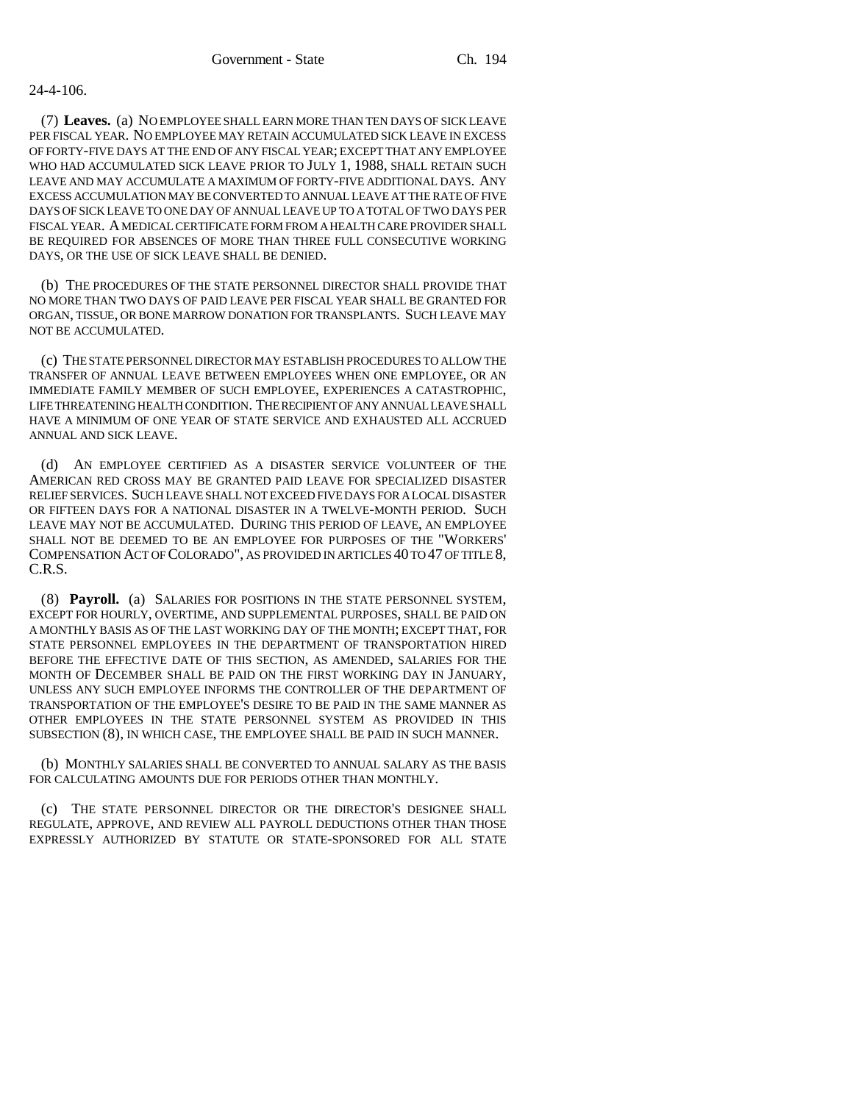## 24-4-106.

(7) **Leaves.** (a) NO EMPLOYEE SHALL EARN MORE THAN TEN DAYS OF SICK LEAVE PER FISCAL YEAR. NO EMPLOYEE MAY RETAIN ACCUMULATED SICK LEAVE IN EXCESS OF FORTY-FIVE DAYS AT THE END OF ANY FISCAL YEAR; EXCEPT THAT ANY EMPLOYEE WHO HAD ACCUMULATED SICK LEAVE PRIOR TO JULY 1, 1988, SHALL RETAIN SUCH LEAVE AND MAY ACCUMULATE A MAXIMUM OF FORTY-FIVE ADDITIONAL DAYS. ANY EXCESS ACCUMULATION MAY BE CONVERTED TO ANNUAL LEAVE AT THE RATE OF FIVE DAYS OF SICK LEAVE TO ONE DAY OF ANNUAL LEAVE UP TO A TOTAL OF TWO DAYS PER FISCAL YEAR. A MEDICAL CERTIFICATE FORM FROM A HEALTH CARE PROVIDER SHALL BE REQUIRED FOR ABSENCES OF MORE THAN THREE FULL CONSECUTIVE WORKING DAYS, OR THE USE OF SICK LEAVE SHALL BE DENIED.

(b) THE PROCEDURES OF THE STATE PERSONNEL DIRECTOR SHALL PROVIDE THAT NO MORE THAN TWO DAYS OF PAID LEAVE PER FISCAL YEAR SHALL BE GRANTED FOR ORGAN, TISSUE, OR BONE MARROW DONATION FOR TRANSPLANTS. SUCH LEAVE MAY NOT BE ACCUMULATED.

(c) THE STATE PERSONNEL DIRECTOR MAY ESTABLISH PROCEDURES TO ALLOW THE TRANSFER OF ANNUAL LEAVE BETWEEN EMPLOYEES WHEN ONE EMPLOYEE, OR AN IMMEDIATE FAMILY MEMBER OF SUCH EMPLOYEE, EXPERIENCES A CATASTROPHIC, LIFE THREATENING HEALTH CONDITION. THE RECIPIENT OF ANY ANNUAL LEAVE SHALL HAVE A MINIMUM OF ONE YEAR OF STATE SERVICE AND EXHAUSTED ALL ACCRUED ANNUAL AND SICK LEAVE.

(d) AN EMPLOYEE CERTIFIED AS A DISASTER SERVICE VOLUNTEER OF THE AMERICAN RED CROSS MAY BE GRANTED PAID LEAVE FOR SPECIALIZED DISASTER RELIEF SERVICES. SUCH LEAVE SHALL NOT EXCEED FIVE DAYS FOR A LOCAL DISASTER OR FIFTEEN DAYS FOR A NATIONAL DISASTER IN A TWELVE-MONTH PERIOD. SUCH LEAVE MAY NOT BE ACCUMULATED. DURING THIS PERIOD OF LEAVE, AN EMPLOYEE SHALL NOT BE DEEMED TO BE AN EMPLOYEE FOR PURPOSES OF THE "WORKERS' COMPENSATION ACT OF COLORADO", AS PROVIDED IN ARTICLES 40 TO 47 OF TITLE 8, C.R.S.

(8) **Payroll.** (a) SALARIES FOR POSITIONS IN THE STATE PERSONNEL SYSTEM, EXCEPT FOR HOURLY, OVERTIME, AND SUPPLEMENTAL PURPOSES, SHALL BE PAID ON A MONTHLY BASIS AS OF THE LAST WORKING DAY OF THE MONTH; EXCEPT THAT, FOR STATE PERSONNEL EMPLOYEES IN THE DEPARTMENT OF TRANSPORTATION HIRED BEFORE THE EFFECTIVE DATE OF THIS SECTION, AS AMENDED, SALARIES FOR THE MONTH OF DECEMBER SHALL BE PAID ON THE FIRST WORKING DAY IN JANUARY, UNLESS ANY SUCH EMPLOYEE INFORMS THE CONTROLLER OF THE DEPARTMENT OF TRANSPORTATION OF THE EMPLOYEE'S DESIRE TO BE PAID IN THE SAME MANNER AS OTHER EMPLOYEES IN THE STATE PERSONNEL SYSTEM AS PROVIDED IN THIS SUBSECTION (8), IN WHICH CASE, THE EMPLOYEE SHALL BE PAID IN SUCH MANNER.

(b) MONTHLY SALARIES SHALL BE CONVERTED TO ANNUAL SALARY AS THE BASIS FOR CALCULATING AMOUNTS DUE FOR PERIODS OTHER THAN MONTHLY.

(c) THE STATE PERSONNEL DIRECTOR OR THE DIRECTOR'S DESIGNEE SHALL REGULATE, APPROVE, AND REVIEW ALL PAYROLL DEDUCTIONS OTHER THAN THOSE EXPRESSLY AUTHORIZED BY STATUTE OR STATE-SPONSORED FOR ALL STATE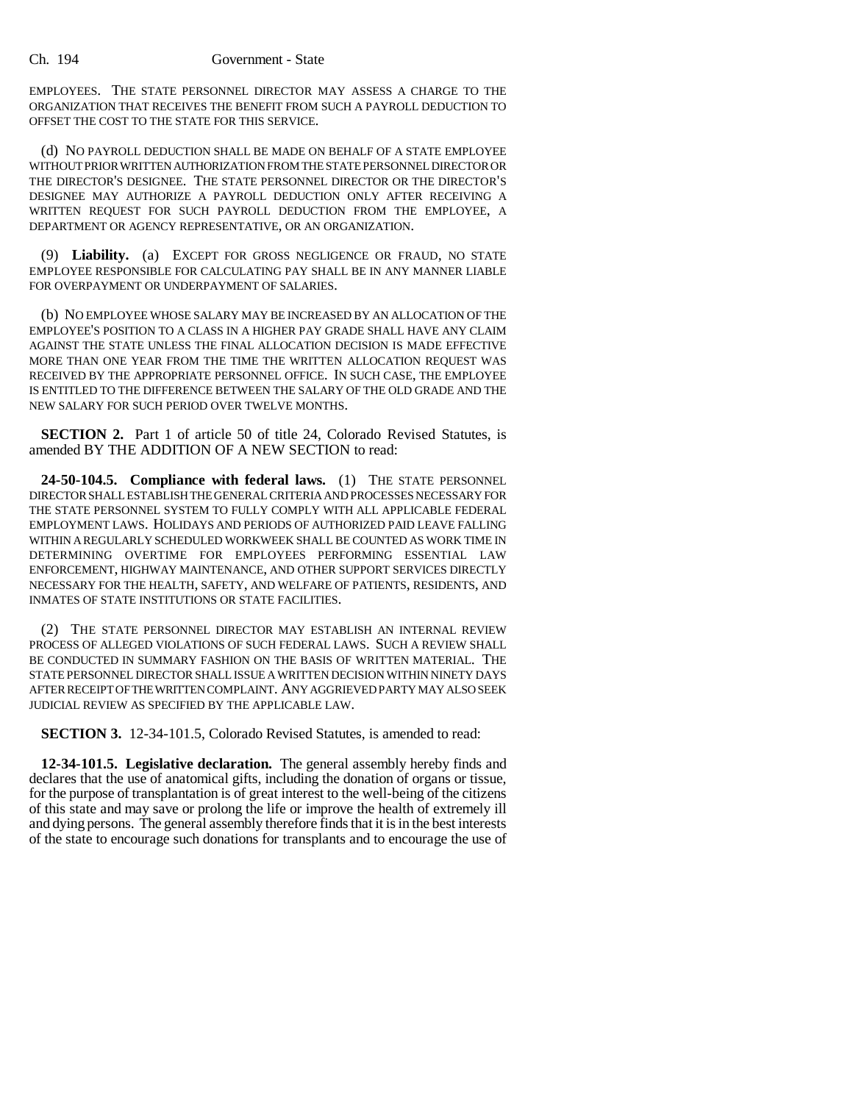EMPLOYEES. THE STATE PERSONNEL DIRECTOR MAY ASSESS A CHARGE TO THE ORGANIZATION THAT RECEIVES THE BENEFIT FROM SUCH A PAYROLL DEDUCTION TO OFFSET THE COST TO THE STATE FOR THIS SERVICE.

(d) NO PAYROLL DEDUCTION SHALL BE MADE ON BEHALF OF A STATE EMPLOYEE WITHOUT PRIOR WRITTEN AUTHORIZATION FROM THE STATE PERSONNEL DIRECTOR OR THE DIRECTOR'S DESIGNEE. THE STATE PERSONNEL DIRECTOR OR THE DIRECTOR'S DESIGNEE MAY AUTHORIZE A PAYROLL DEDUCTION ONLY AFTER RECEIVING A WRITTEN REQUEST FOR SUCH PAYROLL DEDUCTION FROM THE EMPLOYEE, A DEPARTMENT OR AGENCY REPRESENTATIVE, OR AN ORGANIZATION.

(9) **Liability.** (a) EXCEPT FOR GROSS NEGLIGENCE OR FRAUD, NO STATE EMPLOYEE RESPONSIBLE FOR CALCULATING PAY SHALL BE IN ANY MANNER LIABLE FOR OVERPAYMENT OR UNDERPAYMENT OF SALARIES.

(b) NO EMPLOYEE WHOSE SALARY MAY BE INCREASED BY AN ALLOCATION OF THE EMPLOYEE'S POSITION TO A CLASS IN A HIGHER PAY GRADE SHALL HAVE ANY CLAIM AGAINST THE STATE UNLESS THE FINAL ALLOCATION DECISION IS MADE EFFECTIVE MORE THAN ONE YEAR FROM THE TIME THE WRITTEN ALLOCATION REQUEST WAS RECEIVED BY THE APPROPRIATE PERSONNEL OFFICE. IN SUCH CASE, THE EMPLOYEE IS ENTITLED TO THE DIFFERENCE BETWEEN THE SALARY OF THE OLD GRADE AND THE NEW SALARY FOR SUCH PERIOD OVER TWELVE MONTHS.

**SECTION 2.** Part 1 of article 50 of title 24, Colorado Revised Statutes, is amended BY THE ADDITION OF A NEW SECTION to read:

**24-50-104.5. Compliance with federal laws.** (1) THE STATE PERSONNEL DIRECTOR SHALL ESTABLISH THE GENERAL CRITERIA AND PROCESSES NECESSARY FOR THE STATE PERSONNEL SYSTEM TO FULLY COMPLY WITH ALL APPLICABLE FEDERAL EMPLOYMENT LAWS. HOLIDAYS AND PERIODS OF AUTHORIZED PAID LEAVE FALLING WITHIN A REGULARLY SCHEDULED WORKWEEK SHALL BE COUNTED AS WORK TIME IN DETERMINING OVERTIME FOR EMPLOYEES PERFORMING ESSENTIAL LAW ENFORCEMENT, HIGHWAY MAINTENANCE, AND OTHER SUPPORT SERVICES DIRECTLY NECESSARY FOR THE HEALTH, SAFETY, AND WELFARE OF PATIENTS, RESIDENTS, AND INMATES OF STATE INSTITUTIONS OR STATE FACILITIES.

(2) THE STATE PERSONNEL DIRECTOR MAY ESTABLISH AN INTERNAL REVIEW PROCESS OF ALLEGED VIOLATIONS OF SUCH FEDERAL LAWS. SUCH A REVIEW SHALL BE CONDUCTED IN SUMMARY FASHION ON THE BASIS OF WRITTEN MATERIAL. THE STATE PERSONNEL DIRECTOR SHALL ISSUE A WRITTEN DECISION WITHIN NINETY DAYS AFTER RECEIPT OF THE WRITTEN COMPLAINT. ANY AGGRIEVED PARTY MAY ALSO SEEK JUDICIAL REVIEW AS SPECIFIED BY THE APPLICABLE LAW.

**SECTION 3.** 12-34-101.5, Colorado Revised Statutes, is amended to read:

**12-34-101.5. Legislative declaration.** The general assembly hereby finds and declares that the use of anatomical gifts, including the donation of organs or tissue, for the purpose of transplantation is of great interest to the well-being of the citizens of this state and may save or prolong the life or improve the health of extremely ill and dying persons. The general assembly therefore finds that it is in the best interests of the state to encourage such donations for transplants and to encourage the use of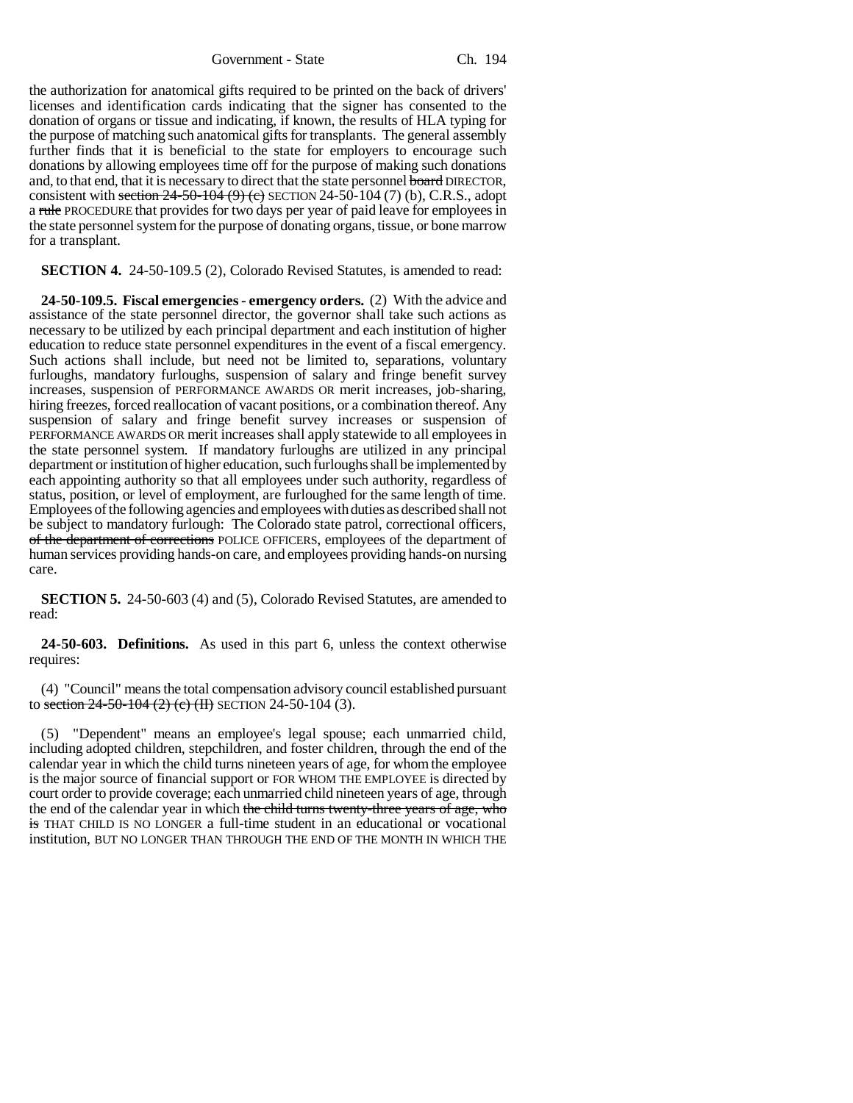Government - State Ch. 194

the authorization for anatomical gifts required to be printed on the back of drivers' licenses and identification cards indicating that the signer has consented to the donation of organs or tissue and indicating, if known, the results of HLA typing for the purpose of matching such anatomical gifts for transplants. The general assembly further finds that it is beneficial to the state for employers to encourage such donations by allowing employees time off for the purpose of making such donations and, to that end, that it is necessary to direct that the state personnel board DIRECTOR, consistent with section  $24-50-104$  (9) (e) SECTION 24-50-104 (7) (b), C.R.S., adopt a rule PROCEDURE that provides for two days per year of paid leave for employees in the state personnel system for the purpose of donating organs, tissue, or bone marrow for a transplant.

**SECTION 4.** 24-50-109.5 (2), Colorado Revised Statutes, is amended to read:

**24-50-109.5. Fiscal emergencies - emergency orders.** (2) With the advice and assistance of the state personnel director, the governor shall take such actions as necessary to be utilized by each principal department and each institution of higher education to reduce state personnel expenditures in the event of a fiscal emergency. Such actions shall include, but need not be limited to, separations, voluntary furloughs, mandatory furloughs, suspension of salary and fringe benefit survey increases, suspension of PERFORMANCE AWARDS OR merit increases, job-sharing, hiring freezes, forced reallocation of vacant positions, or a combination thereof. Any suspension of salary and fringe benefit survey increases or suspension of PERFORMANCE AWARDS OR merit increases shall apply statewide to all employees in the state personnel system. If mandatory furloughs are utilized in any principal department or institution of higher education, such furloughs shall be implemented by each appointing authority so that all employees under such authority, regardless of status, position, or level of employment, are furloughed for the same length of time. Employees of the following agencies and employees with duties as described shall not be subject to mandatory furlough: The Colorado state patrol, correctional officers, of the department of corrections POLICE OFFICERS, employees of the department of human services providing hands-on care, and employees providing hands-on nursing care.

**SECTION 5.** 24-50-603 (4) and (5), Colorado Revised Statutes, are amended to read:

**24-50-603. Definitions.** As used in this part 6, unless the context otherwise requires:

(4) "Council" means the total compensation advisory council established pursuant to section 24-50-104 (2) (c) (II) SECTION 24-50-104 (3).

(5) "Dependent" means an employee's legal spouse; each unmarried child, including adopted children, stepchildren, and foster children, through the end of the calendar year in which the child turns nineteen years of age, for whom the employee is the major source of financial support or FOR WHOM THE EMPLOYEE is directed by court order to provide coverage; each unmarried child nineteen years of age, through the end of the calendar year in which the child turns twenty-three years of age, who is THAT CHILD IS NO LONGER a full-time student in an educational or vocational institution, BUT NO LONGER THAN THROUGH THE END OF THE MONTH IN WHICH THE